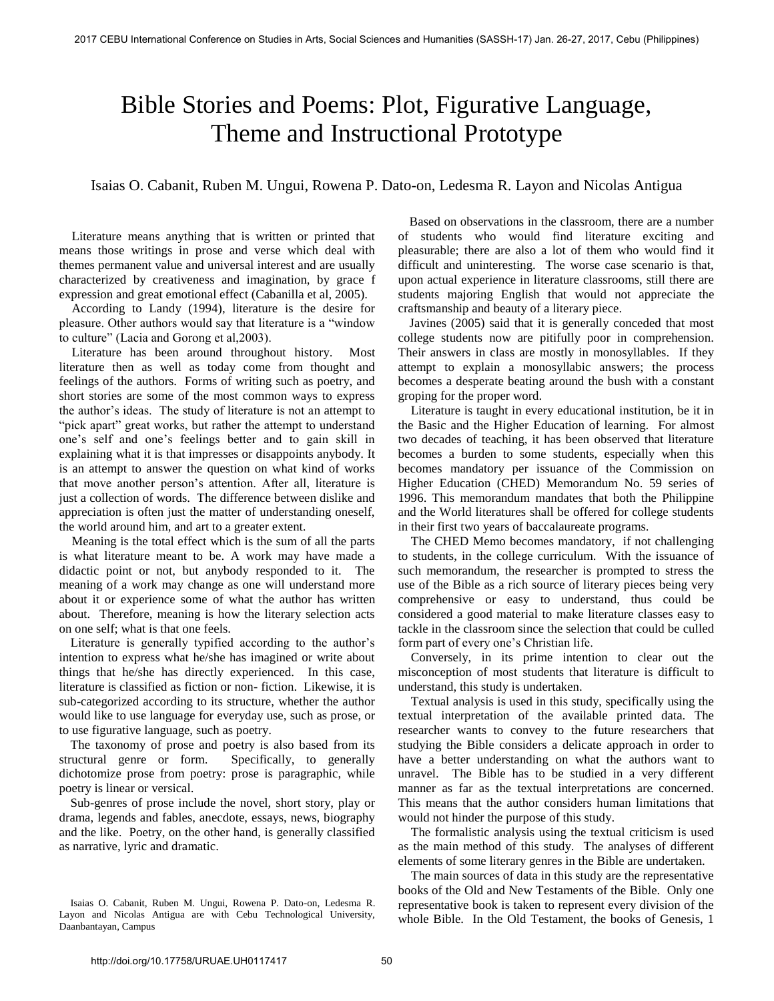## Bible Stories and Poems: Plot, Figurative Language, Theme and Instructional Prototype

Isaias O. Cabanit, Ruben M. Ungui, Rowena P. Dato-on, Ledesma R. Layon and Nicolas Antigua

Literature means anything that is written or printed that means those writings in prose and verse which deal with themes permanent value and universal interest and are usually characterized by creativeness and imagination, by grace f expression and great emotional effect (Cabanilla et al, 2005).

According to Landy (1994), literature is the desire for pleasure. Other authors would say that literature is a "window to culture" (Lacia and Gorong et al,2003).

Literature has been around throughout history. Most literature then as well as today come from thought and feelings of the authors. Forms of writing such as poetry, and short stories are some of the most common ways to express the author's ideas. The study of literature is not an attempt to "pick apart" great works, but rather the attempt to understand one's self and one's feelings better and to gain skill in explaining what it is that impresses or disappoints anybody. It is an attempt to answer the question on what kind of works that move another person's attention. After all, literature is just a collection of words. The difference between dislike and appreciation is often just the matter of understanding oneself, the world around him, and art to a greater extent.

Meaning is the total effect which is the sum of all the parts is what literature meant to be. A work may have made a didactic point or not, but anybody responded to it. The meaning of a work may change as one will understand more about it or experience some of what the author has written about. Therefore, meaning is how the literary selection acts on one self; what is that one feels.

Literature is generally typified according to the author's intention to express what he/she has imagined or write about things that he/she has directly experienced. In this case, literature is classified as fiction or non- fiction. Likewise, it is sub-categorized according to its structure, whether the author would like to use language for everyday use, such as prose, or to use figurative language, such as poetry.

 The taxonomy of prose and poetry is also based from its structural genre or form. Specifically, to generally dichotomize prose from poetry: prose is paragraphic, while poetry is linear or versical.

 Sub-genres of prose include the novel, short story, play or drama, legends and fables, anecdote, essays, news, biography and the like. Poetry, on the other hand, is generally classified as narrative, lyric and dramatic.

 Based on observations in the classroom, there are a number of students who would find literature exciting and pleasurable; there are also a lot of them who would find it difficult and uninteresting. The worse case scenario is that, upon actual experience in literature classrooms, still there are students majoring English that would not appreciate the craftsmanship and beauty of a literary piece.

 Javines (2005) said that it is generally conceded that most college students now are pitifully poor in comprehension. Their answers in class are mostly in monosyllables. If they attempt to explain a monosyllabic answers; the process becomes a desperate beating around the bush with a constant groping for the proper word.

Literature is taught in every educational institution, be it in the Basic and the Higher Education of learning. For almost two decades of teaching, it has been observed that literature becomes a burden to some students, especially when this becomes mandatory per issuance of the Commission on Higher Education (CHED) Memorandum No. 59 series of 1996. This memorandum mandates that both the Philippine and the World literatures shall be offered for college students in their first two years of baccalaureate programs.

The CHED Memo becomes mandatory, if not challenging to students, in the college curriculum. With the issuance of such memorandum, the researcher is prompted to stress the use of the Bible as a rich source of literary pieces being very comprehensive or easy to understand, thus could be considered a good material to make literature classes easy to tackle in the classroom since the selection that could be culled form part of every one's Christian life.

Conversely, in its prime intention to clear out the misconception of most students that literature is difficult to understand, this study is undertaken.

Textual analysis is used in this study, specifically using the textual interpretation of the available printed data. The researcher wants to convey to the future researchers that studying the Bible considers a delicate approach in order to have a better understanding on what the authors want to unravel. The Bible has to be studied in a very different manner as far as the textual interpretations are concerned. This means that the author considers human limitations that would not hinder the purpose of this study.

The formalistic analysis using the textual criticism is used as the main method of this study. The analyses of different elements of some literary genres in the Bible are undertaken.

The main sources of data in this study are the representative books of the Old and New Testaments of the Bible. Only one representative book is taken to represent every division of the whole Bible. In the Old Testament, the books of Genesis, 1

Isaias O. Cabanit, Ruben M. Ungui, Rowena P. Dato-on, Ledesma R. Layon and Nicolas Antigua are with Cebu Technological University, Daanbantayan, Campus